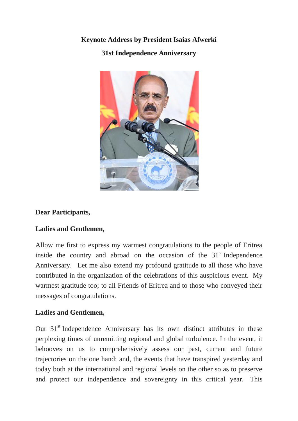# **Keynote Address by President Isaias Afwerki 31st Independence Anniversary**



## **Dear Participants,**

### **Ladies and Gentlemen,**

Allow me first to express my warmest congratulations to the people of Eritrea inside the country and abroad on the occasion of the  $31<sup>st</sup>$  Independence Anniversary. Let me also extend my profound gratitude to all those who have contributed in the organization of the celebrations of this auspicious event. My warmest gratitude too; to all Friends of Eritrea and to those who conveyed their messages of congratulations.

### **Ladies and Gentlemen,**

Our 31<sup>st</sup> Independence Anniversary has its own distinct attributes in these perplexing times of unremitting regional and global turbulence. In the event, it behooves on us to comprehensively assess our past, current and future trajectories on the one hand; and, the events that have transpired yesterday and today both at the international and regional levels on the other so as to preserve and protect our independence and sovereignty in this critical year. This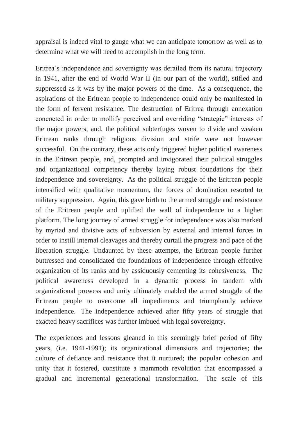appraisal is indeed vital to gauge what we can anticipate tomorrow as well as to determine what we will need to accomplish in the long term.

Eritrea's independence and sovereignty was derailed from its natural trajectory in 1941, after the end of World War II (in our part of the world), stifled and suppressed as it was by the major powers of the time. As a consequence, the aspirations of the Eritrean people to independence could only be manifested in the form of fervent resistance. The destruction of Eritrea through annexation concocted in order to mollify perceived and overriding "strategic" interests of the major powers, and, the political subterfuges woven to divide and weaken Eritrean ranks through religious division and strife were not however successful. On the contrary, these acts only triggered higher political awareness in the Eritrean people, and, prompted and invigorated their political struggles and organizational competency thereby laying robust foundations for their independence and sovereignty. As the political struggle of the Eritrean people intensified with qualitative momentum, the forces of domination resorted to military suppression. Again, this gave birth to the armed struggle and resistance of the Eritrean people and uplifted the wall of independence to a higher platform. The long journey of armed struggle for independence was also marked by myriad and divisive acts of subversion by external and internal forces in order to instill internal cleavages and thereby curtail the progress and pace of the liberation struggle. Undaunted by these attempts, the Eritrean people further buttressed and consolidated the foundations of independence through effective organization of its ranks and by assiduously cementing its cohesiveness. The political awareness developed in a dynamic process in tandem with organizational prowess and unity ultimately enabled the armed struggle of the Eritrean people to overcome all impediments and triumphantly achieve independence. The independence achieved after fifty years of struggle that exacted heavy sacrifices was further imbued with legal sovereignty.

The experiences and lessons gleaned in this seemingly brief period of fifty years, (i.e. 1941-1991); its organizational dimensions and trajectories; the culture of defiance and resistance that it nurtured; the popular cohesion and unity that it fostered, constitute a mammoth revolution that encompassed a gradual and incremental generational transformation. The scale of this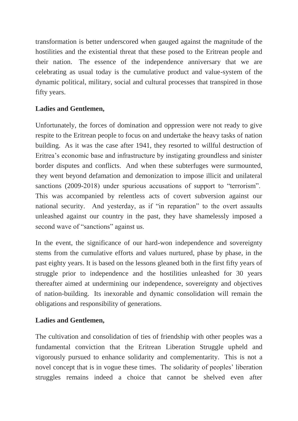transformation is better underscored when gauged against the magnitude of the hostilities and the existential threat that these posed to the Eritrean people and their nation. The essence of the independence anniversary that we are celebrating as usual today is the cumulative product and value-system of the dynamic political, military, social and cultural processes that transpired in those fifty years.

### **Ladies and Gentlemen,**

Unfortunately, the forces of domination and oppression were not ready to give respite to the Eritrean people to focus on and undertake the heavy tasks of nation building. As it was the case after 1941, they resorted to willful destruction of Eritrea's economic base and infrastructure by instigating groundless and sinister border disputes and conflicts. And when these subterfuges were surmounted, they went beyond defamation and demonization to impose illicit and unilateral sanctions (2009-2018) under spurious accusations of support to "terrorism". This was accompanied by relentless acts of covert subversion against our national security. And yesterday, as if "in reparation" to the overt assaults unleashed against our country in the past, they have shamelessly imposed a second wave of "sanctions" against us.

In the event, the significance of our hard-won independence and sovereignty stems from the cumulative efforts and values nurtured, phase by phase, in the past eighty years. It is based on the lessons gleaned both in the first fifty years of struggle prior to independence and the hostilities unleashed for 30 years thereafter aimed at undermining our independence, sovereignty and objectives of nation-building. Its inexorable and dynamic consolidation will remain the obligations and responsibility of generations.

### **Ladies and Gentlemen,**

The cultivation and consolidation of ties of friendship with other peoples was a fundamental conviction that the Eritrean Liberation Struggle upheld and vigorously pursued to enhance solidarity and complementarity. This is not a novel concept that is in vogue these times. The solidarity of peoples' liberation struggles remains indeed a choice that cannot be shelved even after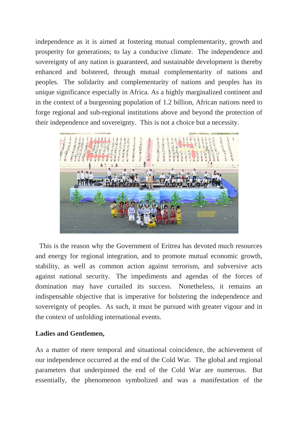independence as it is aimed at fostering mutual complementarity, growth and prosperity for generations; to lay a conducive climate. The independence and sovereignty of any nation is guaranteed, and sustainable development is thereby enhanced and bolstered, through mutual complementarity of nations and peoples. The solidarity and complementarity of nations and peoples has its unique significance especially in Africa. As a highly marginalized continent and in the context of a burgeoning population of 1.2 billion, African nations need to forge regional and sub-regional institutions above and beyond the protection of their independence and sovereignty. This is not a choice but a necessity.



This is the reason why the Government of Eritrea has devoted much resources and energy for regional integration, and to promote mutual economic growth, stability, as well as common action against terrorism, and subversive acts against national security. The impediments and agendas of the forces of domination may have curtailed its success. Nonetheless, it remains an indispensable objective that is imperative for bolstering the independence and sovereignty of peoples. As such, it must be pursued with greater vigour and in the context of unfolding international events.

### **Ladies and Gentlemen,**

As a matter of mere temporal and situational coincidence, the achievement of our independence occurred at the end of the Cold War. The global and regional parameters that underpinned the end of the Cold War are numerous. But essentially, the phenomenon symbolized and was a manifestation of the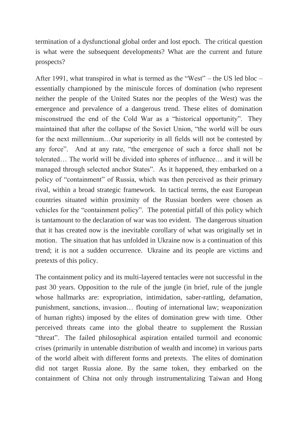termination of a dysfunctional global order and lost epoch. The critical question is what were the subsequent developments? What are the current and future prospects?

After 1991, what transpired in what is termed as the "West" – the US led bloc – essentially championed by the miniscule forces of domination (who represent neither the people of the United States nor the peoples of the West) was the emergence and prevalence of a dangerous trend. These elites of domination misconstrued the end of the Cold War as a "historical opportunity". They maintained that after the collapse of the Soviet Union, "the world will be ours for the next millennium…Our superiority in all fields will not be contested by any force". And at any rate, "the emergence of such a force shall not be tolerated… The world will be divided into spheres of influence… and it will be managed through selected anchor States". As it happened, they embarked on a policy of "containment" of Russia, which was then perceived as their primary rival, within a broad strategic framework. In tactical terms, the east European countries situated within proximity of the Russian borders were chosen as vehicles for the "containment policy". The potential pitfall of this policy which is tantamount to the declaration of war was too evident. The dangerous situation that it has created now is the inevitable corollary of what was originally set in motion. The situation that has unfolded in Ukraine now is a continuation of this trend; it is not a sudden occurrence. Ukraine and its people are victims and pretexts of this policy.

The containment policy and its multi-layered tentacles were not successful in the past 30 years. Opposition to the rule of the jungle (in brief, rule of the jungle whose hallmarks are: expropriation, intimidation, saber-rattling, defamation, punishment, sanctions, invasion… flouting of international law; weaponization of human rights) imposed by the elites of domination grew with time. Other perceived threats came into the global theatre to supplement the Russian "threat". The failed philosophical aspiration entailed turmoil and economic crises (primarily in untenable distribution of wealth and income) in various parts of the world albeit with different forms and pretexts. The elites of domination did not target Russia alone. By the same token, they embarked on the containment of China not only through instrumentalizing Taiwan and Hong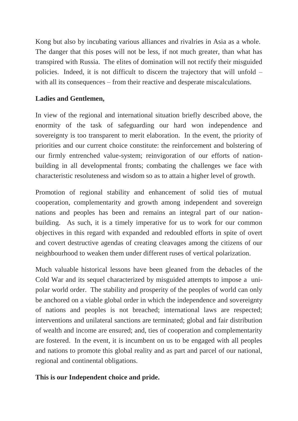Kong but also by incubating various alliances and rivalries in Asia as a whole. The danger that this poses will not be less, if not much greater, than what has transpired with Russia. The elites of domination will not rectify their misguided policies. Indeed, it is not difficult to discern the trajectory that will unfold – with all its consequences – from their reactive and desperate miscalculations.

### **Ladies and Gentlemen,**

In view of the regional and international situation briefly described above, the enormity of the task of safeguarding our hard won independence and sovereignty is too transparent to merit elaboration. In the event, the priority of priorities and our current choice constitute: the reinforcement and bolstering of our firmly entrenched value-system; reinvigoration of our efforts of nationbuilding in all developmental fronts; combating the challenges we face with characteristic resoluteness and wisdom so as to attain a higher level of growth.

Promotion of regional stability and enhancement of solid ties of mutual cooperation, complementarity and growth among independent and sovereign nations and peoples has been and remains an integral part of our nationbuilding. As such, it is a timely imperative for us to work for our common objectives in this regard with expanded and redoubled efforts in spite of overt and covert destructive agendas of creating cleavages among the citizens of our neighbourhood to weaken them under different ruses of vertical polarization.

Much valuable historical lessons have been gleaned from the debacles of the Cold War and its sequel characterized by misguided attempts to impose a unipolar world order. The stability and prosperity of the peoples of world can only be anchored on a viable global order in which the independence and sovereignty of nations and peoples is not breached; international laws are respected; interventions and unilateral sanctions are terminated; global and fair distribution of wealth and income are ensured; and, ties of cooperation and complementarity are fostered. In the event, it is incumbent on us to be engaged with all peoples and nations to promote this global reality and as part and parcel of our national, regional and continental obligations.

### **This is our Independent choice and pride.**